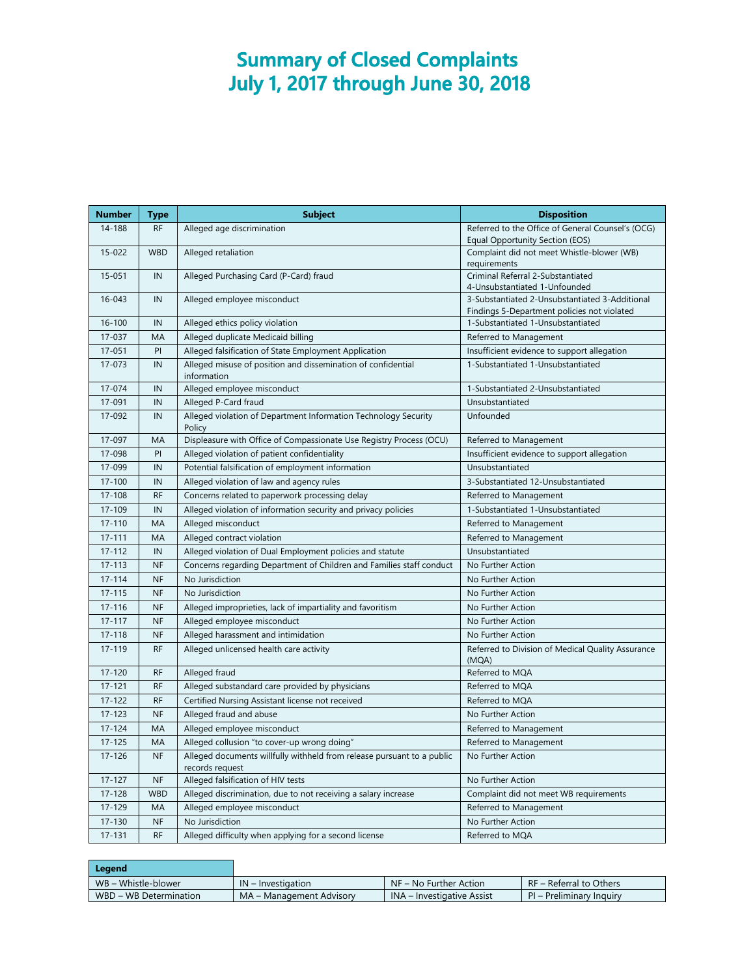## **Summary of Closed Complaints July 1, 2017 through June 30, 2018**

| <b>Number</b> | <b>Type</b> | <b>Subject</b>                                                                            | <b>Disposition</b>                                         |
|---------------|-------------|-------------------------------------------------------------------------------------------|------------------------------------------------------------|
| 14-188        | <b>RF</b>   | Alleged age discrimination                                                                | Referred to the Office of General Counsel's (OCG)          |
|               |             |                                                                                           | Equal Opportunity Section (EOS)                            |
| 15-022        | <b>WBD</b>  | Alleged retaliation                                                                       | Complaint did not meet Whistle-blower (WB)<br>requirements |
| 15-051        | IN          | Alleged Purchasing Card (P-Card) fraud                                                    | Criminal Referral 2-Substantiated                          |
|               |             |                                                                                           | 4-Unsubstantiated 1-Unfounded                              |
| 16-043        | IN          | Alleged employee misconduct                                                               | 3-Substantiated 2-Unsubstantiated 3-Additional             |
|               |             |                                                                                           | Findings 5-Department policies not violated                |
| $16 - 100$    | IN          | Alleged ethics policy violation                                                           | 1-Substantiated 1-Unsubstantiated                          |
| 17-037        | MA          | Alleged duplicate Medicaid billing                                                        | Referred to Management                                     |
| 17-051        | PI          | Alleged falsification of State Employment Application                                     | Insufficient evidence to support allegation                |
| 17-073        | IN          | Alleged misuse of position and dissemination of confidential<br>information               | 1-Substantiated 1-Unsubstantiated                          |
| 17-074        | IN          | Alleged employee misconduct                                                               | 1-Substantiated 2-Unsubstantiated                          |
| 17-091        | IN          | Alleged P-Card fraud                                                                      | Unsubstantiated                                            |
| 17-092        | IN          | Alleged violation of Department Information Technology Security<br>Policy                 | Unfounded                                                  |
| 17-097        | MA          | Displeasure with Office of Compassionate Use Registry Process (OCU)                       | Referred to Management                                     |
| 17-098        | PI          | Alleged violation of patient confidentiality                                              | Insufficient evidence to support allegation                |
| 17-099        | IN          | Potential falsification of employment information                                         | Unsubstantiated                                            |
| $17 - 100$    | IN          | Alleged violation of law and agency rules                                                 | 3-Substantiated 12-Unsubstantiated                         |
| 17-108        | <b>RF</b>   | Concerns related to paperwork processing delay                                            | Referred to Management                                     |
| 17-109        | IN          | Alleged violation of information security and privacy policies                            | 1-Substantiated 1-Unsubstantiated                          |
| 17-110        | MA          | Alleged misconduct                                                                        | Referred to Management                                     |
| $17 - 111$    | MA          | Alleged contract violation                                                                | Referred to Management                                     |
| 17-112        | IN          | Alleged violation of Dual Employment policies and statute                                 | Unsubstantiated                                            |
| $17 - 113$    | <b>NF</b>   | Concerns regarding Department of Children and Families staff conduct                      | No Further Action                                          |
| $17 - 114$    | <b>NF</b>   | No Jurisdiction                                                                           | No Further Action                                          |
| $17 - 115$    | <b>NF</b>   | No Jurisdiction                                                                           | No Further Action                                          |
| 17-116        | <b>NF</b>   | Alleged improprieties, lack of impartiality and favoritism                                | No Further Action                                          |
| $17 - 117$    | <b>NF</b>   | Alleged employee misconduct                                                               | No Further Action                                          |
| $17 - 118$    | <b>NF</b>   | Alleged harassment and intimidation                                                       | No Further Action                                          |
| 17-119        | <b>RF</b>   | Alleged unlicensed health care activity                                                   | Referred to Division of Medical Quality Assurance<br>(MQA) |
| 17-120        | <b>RF</b>   | Alleged fraud                                                                             | Referred to MQA                                            |
| $17 - 121$    | <b>RF</b>   | Alleged substandard care provided by physicians                                           | Referred to MQA                                            |
| 17-122        | <b>RF</b>   | Certified Nursing Assistant license not received                                          | Referred to MQA                                            |
| $17 - 123$    | <b>NF</b>   | Alleged fraud and abuse                                                                   | No Further Action                                          |
| 17-124        | MA          | Alleged employee misconduct                                                               | Referred to Management                                     |
| $17 - 125$    | MA          | Alleged collusion "to cover-up wrong doing"                                               | Referred to Management                                     |
| $17 - 126$    | <b>NF</b>   | Alleged documents willfully withheld from release pursuant to a public<br>records request | No Further Action                                          |
| $17 - 127$    | <b>NF</b>   | Alleged falsification of HIV tests                                                        | No Further Action                                          |
| 17-128        | <b>WBD</b>  | Alleged discrimination, due to not receiving a salary increase                            | Complaint did not meet WB requirements                     |
| 17-129        | MA          | Alleged employee misconduct                                                               | Referred to Management                                     |
| 17-130        | <b>NF</b>   | No Jurisdiction                                                                           | No Further Action                                          |
| 17-131        | <b>RF</b>   | Alleged difficulty when applying for a second license                                     | Referred to MQA                                            |

| Legend                 |                          |                            |                          |
|------------------------|--------------------------|----------------------------|--------------------------|
| WB – Whistle-blower    | $IN$ – Investigation     | $NF - No Further Action$   | RF – Referral to Others  |
| WBD – WB Determination | MA – Management Advisory | INA – Investigative Assist | PI – Preliminary Inquiry |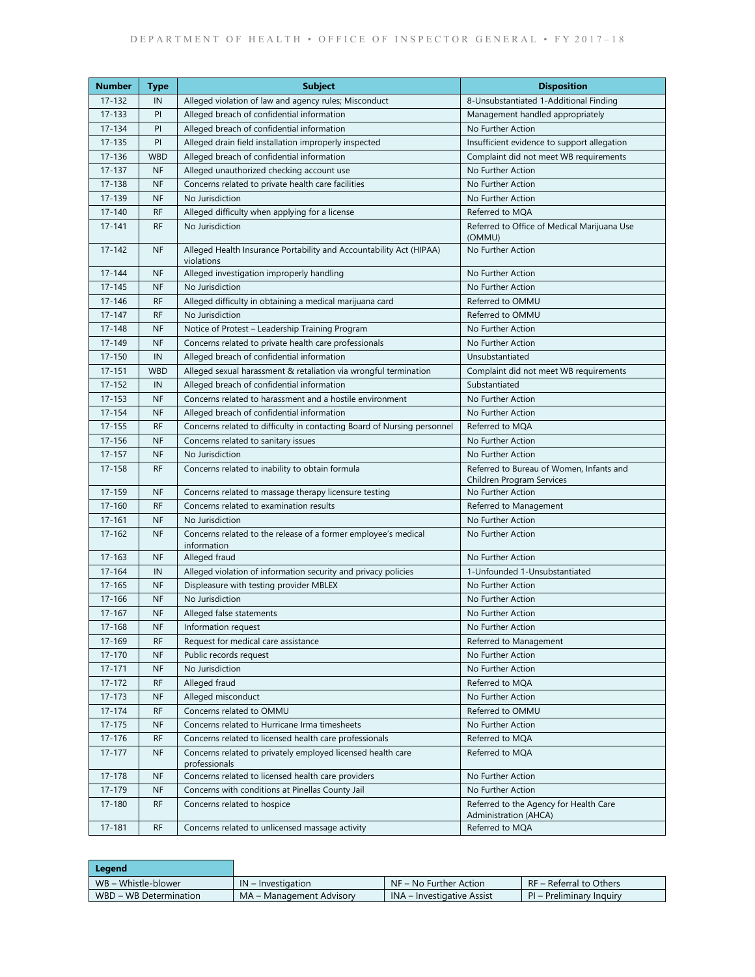| Number     | <b>Type</b> | <b>Subject</b>                                                                    | <b>Disposition</b>                                                    |
|------------|-------------|-----------------------------------------------------------------------------------|-----------------------------------------------------------------------|
| 17-132     | IN          | Alleged violation of law and agency rules; Misconduct                             | 8-Unsubstantiated 1-Additional Finding                                |
| 17-133     | PI          | Alleged breach of confidential information                                        | Management handled appropriately                                      |
| 17-134     | PI          | Alleged breach of confidential information                                        | No Further Action                                                     |
| 17-135     | PI          | Alleged drain field installation improperly inspected                             | Insufficient evidence to support allegation                           |
| 17-136     | <b>WBD</b>  | Alleged breach of confidential information                                        | Complaint did not meet WB requirements                                |
| 17-137     | <b>NF</b>   | Alleged unauthorized checking account use                                         | No Further Action                                                     |
| 17-138     | <b>NF</b>   | Concerns related to private health care facilities                                | No Further Action                                                     |
| 17-139     | <b>NF</b>   | No Jurisdiction                                                                   | No Further Action                                                     |
| $17 - 140$ | <b>RF</b>   | Alleged difficulty when applying for a license                                    | Referred to MQA                                                       |
| $17 - 141$ | <b>RF</b>   | No Jurisdiction                                                                   | Referred to Office of Medical Marijuana Use<br>(OMMU)                 |
| 17-142     | <b>NF</b>   | Alleged Health Insurance Portability and Accountability Act (HIPAA)<br>violations | No Further Action                                                     |
| $17 - 144$ | <b>NF</b>   | Alleged investigation improperly handling                                         | No Further Action                                                     |
| $17 - 145$ | <b>NF</b>   | No Jurisdiction                                                                   | No Further Action                                                     |
| $17 - 146$ | <b>RF</b>   | Alleged difficulty in obtaining a medical marijuana card                          | Referred to OMMU                                                      |
| $17 - 147$ | <b>RF</b>   | No Jurisdiction                                                                   | Referred to OMMU                                                      |
| 17-148     | <b>NF</b>   | Notice of Protest - Leadership Training Program                                   | No Further Action                                                     |
| 17-149     | <b>NF</b>   | Concerns related to private health care professionals                             | No Further Action                                                     |
| $17 - 150$ | IN          | Alleged breach of confidential information                                        | Unsubstantiated                                                       |
| $17 - 151$ | <b>WBD</b>  | Alleged sexual harassment & retaliation via wrongful termination                  | Complaint did not meet WB requirements                                |
| 17-152     | IN          | Alleged breach of confidential information                                        | Substantiated                                                         |
| 17-153     | <b>NF</b>   | Concerns related to harassment and a hostile environment                          | No Further Action                                                     |
| $17 - 154$ | <b>NF</b>   | Alleged breach of confidential information                                        | No Further Action                                                     |
| $17 - 155$ | <b>RF</b>   | Concerns related to difficulty in contacting Board of Nursing personnel           | Referred to MQA                                                       |
| $17 - 156$ | <b>NF</b>   | Concerns related to sanitary issues                                               | No Further Action                                                     |
| $17 - 157$ | <b>NF</b>   | No Jurisdiction                                                                   | No Further Action                                                     |
| 17-158     | <b>RF</b>   | Concerns related to inability to obtain formula                                   | Referred to Bureau of Women, Infants and<br>Children Program Services |
| 17-159     | <b>NF</b>   | Concerns related to massage therapy licensure testing                             | No Further Action                                                     |
| 17-160     | <b>RF</b>   | Concerns related to examination results                                           | Referred to Management                                                |
| $17 - 161$ | <b>NF</b>   | No Jurisdiction                                                                   | No Further Action                                                     |
| $17 - 162$ | <b>NF</b>   | Concerns related to the release of a former employee's medical<br>information     | No Further Action                                                     |
| $17 - 163$ | <b>NF</b>   | Alleged fraud                                                                     | No Further Action                                                     |
| 17-164     | IN          | Alleged violation of information security and privacy policies                    | 1-Unfounded 1-Unsubstantiated                                         |
| $17 - 165$ | <b>NF</b>   | Displeasure with testing provider MBLEX                                           | No Further Action                                                     |
| $17 - 166$ | <b>NF</b>   | No Jurisdiction                                                                   | No Further Action                                                     |
| $17 - 167$ | <b>NF</b>   | Alleged false statements                                                          | No Further Action                                                     |
| 17-168     | NF          | Information request                                                               | No Further Action                                                     |
| 17-169     | <b>RF</b>   | Request for medical care assistance                                               | Referred to Management                                                |
| 17-170     | <b>NF</b>   | Public records request                                                            | No Further Action                                                     |
| $17 - 171$ | <b>NF</b>   | No Jurisdiction                                                                   | No Further Action                                                     |
| 17-172     | <b>RF</b>   | Alleged fraud                                                                     | Referred to MQA                                                       |
| 17-173     | <b>NF</b>   | Alleged misconduct                                                                | No Further Action                                                     |
| $17 - 174$ | <b>RF</b>   | Concerns related to OMMU                                                          | Referred to OMMU                                                      |
| $17 - 175$ | <b>NF</b>   | Concerns related to Hurricane Irma timesheets                                     | No Further Action                                                     |
| $17 - 176$ | <b>RF</b>   | Concerns related to licensed health care professionals                            | Referred to MQA                                                       |
| $17 - 177$ | <b>NF</b>   | Concerns related to privately employed licensed health care<br>professionals      | Referred to MQA                                                       |
| 17-178     | <b>NF</b>   | Concerns related to licensed health care providers                                | No Further Action                                                     |
| 17-179     | <b>NF</b>   | Concerns with conditions at Pinellas County Jail                                  | No Further Action                                                     |
| 17-180     | <b>RF</b>   | Concerns related to hospice                                                       | Referred to the Agency for Health Care<br>Administration (AHCA)       |
| $17 - 181$ | <b>RF</b>   | Concerns related to unlicensed massage activity                                   | Referred to MQA                                                       |

| Leaend                 |                          |                            |                          |
|------------------------|--------------------------|----------------------------|--------------------------|
| WB – Whistle-blower    | $IN$ – Investigation     | NF – No Further Action     | RF - Referral to Others  |
| WBD - WB Determination | MA – Management Advisory | INA – Investigative Assist | PI – Preliminary Inquiry |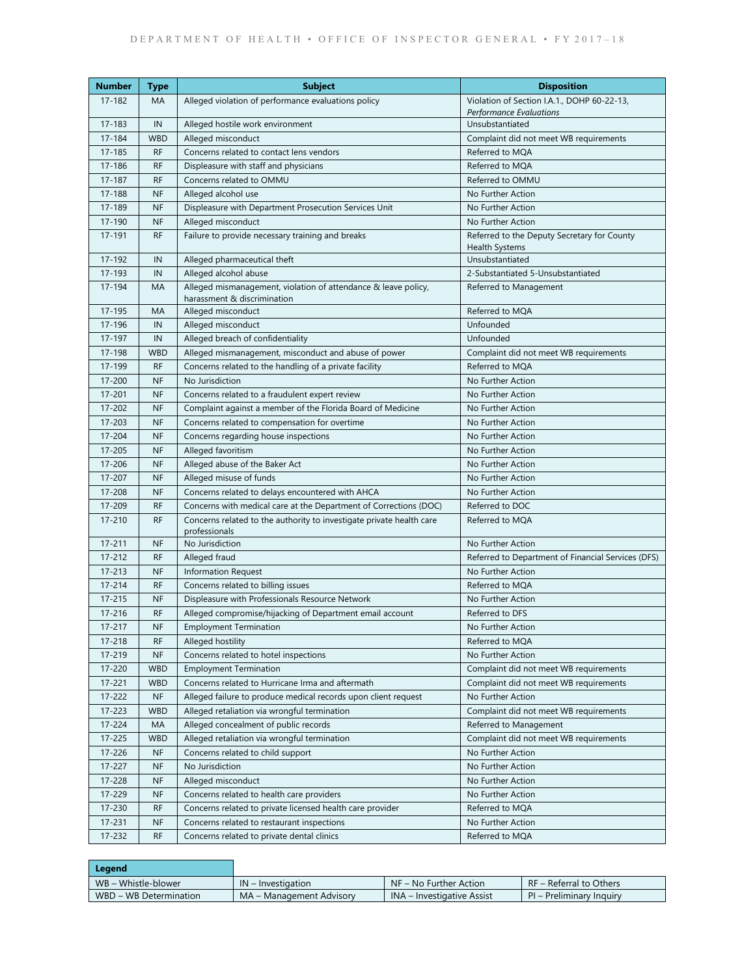| Number     | <b>Type</b> | <b>Subject</b>                                                                                | <b>Disposition</b>                                            |
|------------|-------------|-----------------------------------------------------------------------------------------------|---------------------------------------------------------------|
| 17-182     | MA          | Alleged violation of performance evaluations policy                                           | Violation of Section I.A.1., DOHP 60-22-13,                   |
|            |             |                                                                                               | Performance Evaluations                                       |
| $17 - 183$ | IN          | Alleged hostile work environment                                                              | Unsubstantiated                                               |
| 17-184     | <b>WBD</b>  | Alleged misconduct                                                                            | Complaint did not meet WB requirements                        |
| 17-185     | <b>RF</b>   | Concerns related to contact lens vendors                                                      | Referred to MOA                                               |
| 17-186     | <b>RF</b>   | Displeasure with staff and physicians                                                         | Referred to MOA                                               |
| 17-187     | <b>RF</b>   | Concerns related to OMMU                                                                      | Referred to OMMU                                              |
| 17-188     | <b>NF</b>   | Alleged alcohol use                                                                           | No Further Action                                             |
| 17-189     | <b>NF</b>   | Displeasure with Department Prosecution Services Unit                                         | No Further Action                                             |
| 17-190     | <b>NF</b>   | Alleged misconduct                                                                            | No Further Action                                             |
| 17-191     | <b>RF</b>   | Failure to provide necessary training and breaks                                              | Referred to the Deputy Secretary for County<br>Health Systems |
| 17-192     | IN          | Alleged pharmaceutical theft                                                                  | Unsubstantiated                                               |
| 17-193     | IN          | Alleged alcohol abuse                                                                         | 2-Substantiated 5-Unsubstantiated                             |
| 17-194     | MA          | Alleged mismanagement, violation of attendance & leave policy,<br>harassment & discrimination | Referred to Management                                        |
| 17-195     | MA          | Alleged misconduct                                                                            | Referred to MQA                                               |
| 17-196     | IN          | Alleged misconduct                                                                            | Unfounded                                                     |
| 17-197     | IN          | Alleged breach of confidentiality                                                             | Unfounded                                                     |
| 17-198     | <b>WBD</b>  | Alleged mismanagement, misconduct and abuse of power                                          | Complaint did not meet WB requirements                        |
| 17-199     | <b>RF</b>   | Concerns related to the handling of a private facility                                        | Referred to MQA                                               |
| 17-200     | NF          | No Jurisdiction                                                                               | No Further Action                                             |
| 17-201     | <b>NF</b>   | Concerns related to a fraudulent expert review                                                | No Further Action                                             |
| 17-202     | <b>NF</b>   | Complaint against a member of the Florida Board of Medicine                                   | No Further Action                                             |
| 17-203     | <b>NF</b>   | Concerns related to compensation for overtime                                                 | No Further Action                                             |
| 17-204     | <b>NF</b>   | Concerns regarding house inspections                                                          | No Further Action                                             |
| 17-205     | <b>NF</b>   | Alleged favoritism                                                                            | No Further Action                                             |
| 17-206     | <b>NF</b>   | Alleged abuse of the Baker Act                                                                | No Further Action                                             |
| 17-207     | NF          | Alleged misuse of funds                                                                       | No Further Action                                             |
| 17-208     | <b>NF</b>   | Concerns related to delays encountered with AHCA                                              | No Further Action                                             |
| 17-209     | <b>RF</b>   | Concerns with medical care at the Department of Corrections (DOC)                             | Referred to DOC                                               |
| 17-210     | <b>RF</b>   | Concerns related to the authority to investigate private health care                          | Referred to MQA                                               |
| $17 - 211$ | <b>NF</b>   | professionals<br>No Jurisdiction                                                              | No Further Action                                             |
| 17-212     | <b>RF</b>   | Alleged fraud                                                                                 | Referred to Department of Financial Services (DFS)            |
| 17-213     | <b>NF</b>   | <b>Information Request</b>                                                                    | No Further Action                                             |
| $17 - 214$ | <b>RF</b>   | Concerns related to billing issues                                                            | Referred to MQA                                               |
| $17 - 215$ | <b>NF</b>   | Displeasure with Professionals Resource Network                                               | No Further Action                                             |
| 17-216     | <b>RF</b>   | Alleged compromise/hijacking of Department email account                                      | Referred to DFS                                               |
| $17 - 217$ | $\sf NF$    | <b>Employment Termination</b>                                                                 | No Further Action                                             |
| 17-218     | <b>RF</b>   | Alleged hostility                                                                             | Referred to MQA                                               |
| 17-219     | NF          | Concerns related to hotel inspections                                                         | No Further Action                                             |
| 17-220     | <b>WBD</b>  | <b>Employment Termination</b>                                                                 | Complaint did not meet WB requirements                        |
| 17-221     | <b>WBD</b>  | Concerns related to Hurricane Irma and aftermath                                              | Complaint did not meet WB requirements                        |
| 17-222     | <b>NF</b>   | Alleged failure to produce medical records upon client request                                | No Further Action                                             |
| 17-223     | <b>WBD</b>  | Alleged retaliation via wrongful termination                                                  | Complaint did not meet WB requirements                        |
| 17-224     | MA          | Alleged concealment of public records                                                         | Referred to Management                                        |
| 17-225     | <b>WBD</b>  | Alleged retaliation via wrongful termination                                                  | Complaint did not meet WB requirements                        |
| 17-226     | <b>NF</b>   | Concerns related to child support                                                             | No Further Action                                             |
| 17-227     | <b>NF</b>   | No Jurisdiction                                                                               | No Further Action                                             |
| 17-228     | <b>NF</b>   | Alleged misconduct                                                                            | No Further Action                                             |
| 17-229     | NF          | Concerns related to health care providers                                                     | No Further Action                                             |
| 17-230     | <b>RF</b>   | Concerns related to private licensed health care provider                                     | Referred to MQA                                               |
| 17-231     | NF          | Concerns related to restaurant inspections                                                    | No Further Action                                             |
| 17-232     | <b>RF</b>   | Concerns related to private dental clinics                                                    | Referred to MQA                                               |

| Legend                 |                          |                                   |                          |
|------------------------|--------------------------|-----------------------------------|--------------------------|
| WB - Whistle-blower    | $IN$ – Investigation     | NF – No Further Action            | RF – Referral to Others  |
| WBD – WB Determination | MA – Management Advisory | <b>INA</b> – Investigative Assist | PI – Preliminary Inquiry |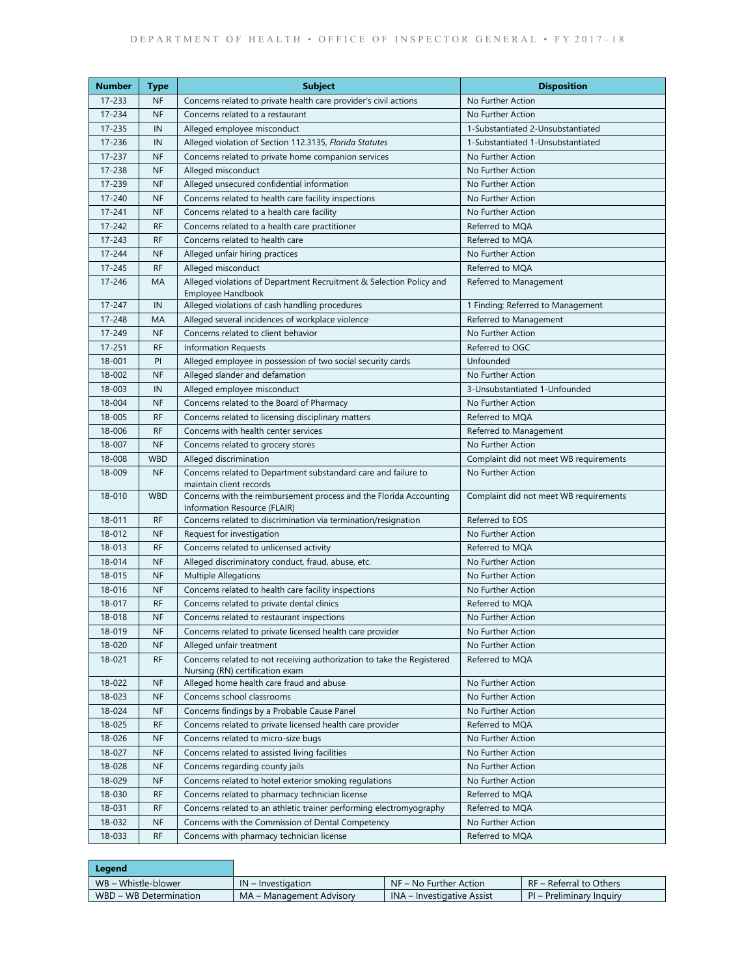| <b>Number</b>    | <b>Type</b>            | <b>Subject</b>                                                                                                           | <b>Disposition</b>                     |
|------------------|------------------------|--------------------------------------------------------------------------------------------------------------------------|----------------------------------------|
| $17 - 233$       | <b>NF</b>              | Concerns related to private health care provider's civil actions                                                         | No Further Action                      |
| 17-234           | <b>NF</b>              | Concerns related to a restaurant                                                                                         | No Further Action                      |
| 17-235           | IN                     | Alleged employee misconduct                                                                                              | 1-Substantiated 2-Unsubstantiated      |
| 17-236           | IN                     | Alleged violation of Section 112.3135, Florida Statutes                                                                  | 1-Substantiated 1-Unsubstantiated      |
| 17-237           | <b>NF</b>              | Concerns related to private home companion services                                                                      | No Further Action                      |
| 17-238           | <b>NF</b>              | Alleged misconduct                                                                                                       | No Further Action                      |
| 17-239           | <b>NF</b>              | Alleged unsecured confidential information                                                                               | No Further Action                      |
| 17-240           | <b>NF</b>              | Concerns related to health care facility inspections                                                                     | No Further Action                      |
| $17 - 241$       | <b>NF</b>              | Concerns related to a health care facility                                                                               | No Further Action                      |
| $17 - 242$       | <b>RF</b>              | Concerns related to a health care practitioner                                                                           | Referred to MQA                        |
| $17 - 243$       | <b>RF</b>              | Concerns related to health care                                                                                          | Referred to MQA                        |
| $17 - 244$       | <b>NF</b>              | Alleged unfair hiring practices                                                                                          | No Further Action                      |
| 17-245           | <b>RF</b>              | Alleged misconduct                                                                                                       | Referred to MQA                        |
| $17 - 246$       | <b>MA</b>              | Alleged violations of Department Recruitment & Selection Policy and<br>Employee Handbook                                 | Referred to Management                 |
| 17-247           | IN                     | Alleged violations of cash handling procedures                                                                           | 1 Finding; Referred to Management      |
| 17-248           | MA                     | Alleged several incidences of workplace violence                                                                         | Referred to Management                 |
| 17-249           | <b>NF</b>              | Concerns related to client behavior                                                                                      | No Further Action                      |
| $17 - 251$       | <b>RF</b>              | <b>Information Requests</b>                                                                                              | Referred to OGC                        |
| 18-001           | PI                     | Alleged employee in possession of two social security cards                                                              | Unfounded                              |
| 18-002           | <b>NF</b>              | Alleged slander and defamation                                                                                           | No Further Action                      |
| 18-003           | IN                     | Alleged employee misconduct                                                                                              | 3-Unsubstantiated 1-Unfounded          |
| 18-004           | <b>NF</b>              | Concerns related to the Board of Pharmacy                                                                                | No Further Action                      |
| 18-005           | <b>RF</b>              | Concerns related to licensing disciplinary matters                                                                       | Referred to MQA                        |
| 18-006           | <b>RF</b>              | Concerns with health center services                                                                                     | Referred to Management                 |
| 18-007           | <b>NF</b>              | Concerns related to grocery stores                                                                                       | No Further Action                      |
| 18-008           | <b>WBD</b>             | Alleged discrimination                                                                                                   | Complaint did not meet WB requirements |
| 18-009           | <b>NF</b>              | Concerns related to Department substandard care and failure to<br>maintain client records                                | No Further Action                      |
| 18-010           | <b>WBD</b>             | Concerns with the reimbursement process and the Florida Accounting<br>Information Resource (FLAIR)                       | Complaint did not meet WB requirements |
| 18-011           | <b>RF</b>              | Concerns related to discrimination via termination/resignation                                                           | Referred to EOS                        |
| 18-012           | <b>NF</b>              | Request for investigation                                                                                                | No Further Action                      |
| 18-013           | <b>RF</b>              | Concerns related to unlicensed activity                                                                                  | Referred to MQA                        |
| 18-014           | <b>NF</b>              | Alleged discriminatory conduct, fraud, abuse, etc.                                                                       | No Further Action                      |
| 18-015           | <b>NF</b>              | <b>Multiple Allegations</b>                                                                                              | No Further Action                      |
| 18-016           | <b>NF</b>              | Concerns related to health care facility inspections                                                                     | No Further Action                      |
| 18-017           | <b>RF</b>              | Concerns related to private dental clinics                                                                               | Referred to MQA                        |
| 18-018           | <b>NF</b>              | Concerns related to restaurant inspections                                                                               | No Further Action                      |
| 18-019           | <b>NF</b>              | Concerns related to private licensed health care provider                                                                | No Further Action                      |
| 18-020           | <b>NF</b>              | Alleged unfair treatment                                                                                                 | No Further Action                      |
| 18-021           | <b>RF</b>              | Concerns related to not receiving authorization to take the Registered<br>Nursing (RN) certification exam                | Referred to MQA                        |
| 18-022           | <b>NF</b>              | Alleged home health care fraud and abuse                                                                                 | No Further Action                      |
| 18-023           | <b>NF</b>              | Concerns school classrooms                                                                                               | No Further Action                      |
| 18-024           | <b>NF</b>              | Concerns findings by a Probable Cause Panel                                                                              | No Further Action                      |
|                  | RF                     | Concerns related to private licensed health care provider                                                                | Referred to MQA                        |
|                  |                        |                                                                                                                          |                                        |
| 18-025           |                        |                                                                                                                          |                                        |
| 18-026           | <b>NF</b>              | Concerns related to micro-size bugs                                                                                      | No Further Action                      |
| 18-027           | <b>NF</b>              | Concerns related to assisted living facilities                                                                           | No Further Action                      |
| 18-028           | <b>NF</b>              | Concerns regarding county jails                                                                                          | No Further Action                      |
| 18-029           | <b>NF</b>              | Concerns related to hotel exterior smoking regulations                                                                   | No Further Action                      |
| 18-030           | RF                     | Concerns related to pharmacy technician license                                                                          | Referred to MQA                        |
| 18-031<br>18-032 | <b>RF</b><br><b>NF</b> | Concerns related to an athletic trainer performing electromyography<br>Concerns with the Commission of Dental Competency | Referred to MQA<br>No Further Action   |

| Legend                 |                          |                                   |                          |
|------------------------|--------------------------|-----------------------------------|--------------------------|
| WB – Whistle-blower    | $IN$ – Investigation     | $NF - No$ Further Action          | RF - Referral to Others  |
| WBD – WB Determination | MA – Management Advisory | <b>INA</b> – Investigative Assist | PI – Preliminary Inquiry |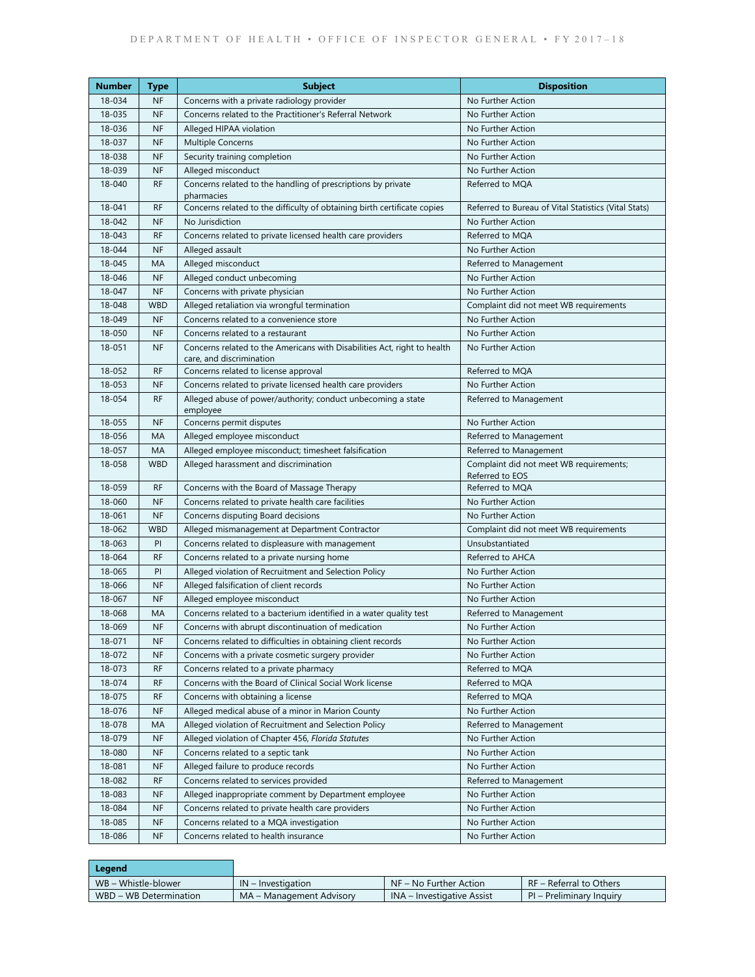| Number | <b>Type</b> | <b>Subject</b>                                                                                       | <b>Disposition</b>                                         |
|--------|-------------|------------------------------------------------------------------------------------------------------|------------------------------------------------------------|
| 18-034 | <b>NF</b>   | Concerns with a private radiology provider                                                           | No Further Action                                          |
| 18-035 | <b>NF</b>   | Concerns related to the Practitioner's Referral Network                                              | No Further Action                                          |
| 18-036 | <b>NF</b>   | Alleged HIPAA violation                                                                              | No Further Action                                          |
| 18-037 | <b>NF</b>   | <b>Multiple Concerns</b>                                                                             | No Further Action                                          |
| 18-038 | <b>NF</b>   | Security training completion                                                                         | No Further Action                                          |
| 18-039 | <b>NF</b>   | Alleged misconduct                                                                                   | No Further Action                                          |
| 18-040 | <b>RF</b>   | Concerns related to the handling of prescriptions by private<br>pharmacies                           | Referred to MQA                                            |
| 18-041 | <b>RF</b>   | Concerns related to the difficulty of obtaining birth certificate copies                             | Referred to Bureau of Vital Statistics (Vital Stats)       |
| 18-042 | <b>NF</b>   | No Jurisdiction                                                                                      | No Further Action                                          |
| 18-043 | <b>RF</b>   | Concerns related to private licensed health care providers                                           | Referred to MQA                                            |
| 18-044 | <b>NF</b>   | Alleged assault                                                                                      | No Further Action                                          |
| 18-045 | MA          | Alleged misconduct                                                                                   | Referred to Management                                     |
| 18-046 | <b>NF</b>   | Alleged conduct unbecoming                                                                           | No Further Action                                          |
| 18-047 | <b>NF</b>   | Concerns with private physician                                                                      | No Further Action                                          |
| 18-048 | <b>WBD</b>  | Alleged retaliation via wrongful termination                                                         | Complaint did not meet WB requirements                     |
| 18-049 | <b>NF</b>   | Concerns related to a convenience store                                                              | No Further Action                                          |
| 18-050 | <b>NF</b>   | Concerns related to a restaurant                                                                     | No Further Action                                          |
| 18-051 | <b>NF</b>   | Concerns related to the Americans with Disabilities Act, right to health<br>care, and discrimination | No Further Action                                          |
| 18-052 | <b>RF</b>   | Concerns related to license approval                                                                 | Referred to MQA                                            |
| 18-053 | <b>NF</b>   | Concerns related to private licensed health care providers                                           | No Further Action                                          |
| 18-054 | <b>RF</b>   | Alleged abuse of power/authority; conduct unbecoming a state<br>employee                             | Referred to Management                                     |
| 18-055 | <b>NF</b>   | Concerns permit disputes                                                                             | No Further Action                                          |
| 18-056 | MA          | Alleged employee misconduct                                                                          | Referred to Management                                     |
| 18-057 | MA          | Alleged employee misconduct; timesheet falsification                                                 | Referred to Management                                     |
| 18-058 | <b>WBD</b>  | Alleged harassment and discrimination                                                                | Complaint did not meet WB requirements;<br>Referred to EOS |
| 18-059 | <b>RF</b>   | Concerns with the Board of Massage Therapy                                                           | Referred to MQA                                            |
| 18-060 | <b>NF</b>   | Concerns related to private health care facilities                                                   | No Further Action                                          |
| 18-061 | <b>NF</b>   | Concerns disputing Board decisions                                                                   | No Further Action                                          |
| 18-062 | <b>WBD</b>  | Alleged mismanagement at Department Contractor                                                       | Complaint did not meet WB requirements                     |
| 18-063 | PI          | Concerns related to displeasure with management                                                      | Unsubstantiated                                            |
| 18-064 | <b>RF</b>   | Concerns related to a private nursing home                                                           | Referred to AHCA                                           |
| 18-065 | PI          | Alleged violation of Recruitment and Selection Policy                                                | No Further Action                                          |
| 18-066 | <b>NF</b>   | Alleged falsification of client records                                                              | No Further Action                                          |
| 18-067 | <b>NF</b>   | Alleged employee misconduct                                                                          | No Further Action                                          |
| 18-068 | MA          | Concerns related to a bacterium identified in a water quality test                                   | Referred to Management                                     |
| 18-069 | NF          | Concerns with abrupt discontinuation of medication                                                   | No Further Action                                          |
| 18-071 | <b>NF</b>   | Concerns related to difficulties in obtaining client records                                         | No Further Action                                          |
| 18-072 | <b>NF</b>   | Concerns with a private cosmetic surgery provider                                                    | No Further Action                                          |
| 18-073 | <b>RF</b>   | Concerns related to a private pharmacy                                                               | Referred to MQA                                            |
| 18-074 | <b>RF</b>   | Concerns with the Board of Clinical Social Work license                                              | Referred to MQA                                            |
| 18-075 | <b>RF</b>   | Concerns with obtaining a license                                                                    | Referred to MQA                                            |
| 18-076 | <b>NF</b>   | Alleged medical abuse of a minor in Marion County                                                    | No Further Action                                          |
| 18-078 | МA          | Alleged violation of Recruitment and Selection Policy                                                | Referred to Management                                     |
| 18-079 | <b>NF</b>   | Alleged violation of Chapter 456, Florida Statutes                                                   | No Further Action                                          |
| 18-080 | <b>NF</b>   | Concerns related to a septic tank                                                                    | No Further Action                                          |
| 18-081 | <b>NF</b>   | Alleged failure to produce records                                                                   | No Further Action                                          |
| 18-082 | <b>RF</b>   | Concerns related to services provided                                                                | Referred to Management                                     |
| 18-083 | <b>NF</b>   | Alleged inappropriate comment by Department employee                                                 | No Further Action                                          |
| 18-084 | <b>NF</b>   | Concerns related to private health care providers                                                    | No Further Action                                          |
| 18-085 | <b>NF</b>   | Concerns related to a MQA investigation                                                              | No Further Action                                          |
| 18-086 | <b>NF</b>   | Concerns related to health insurance                                                                 | No Further Action                                          |

| Legend                 |                          |                            |                          |
|------------------------|--------------------------|----------------------------|--------------------------|
| WB – Whistle-blower    | $IN$ – Investigation     | NF – No Further Action     | RF – Referral to Others  |
| WBD – WB Determination | MA – Management Advisory | INA – Investigative Assist | PI – Preliminary Inquiry |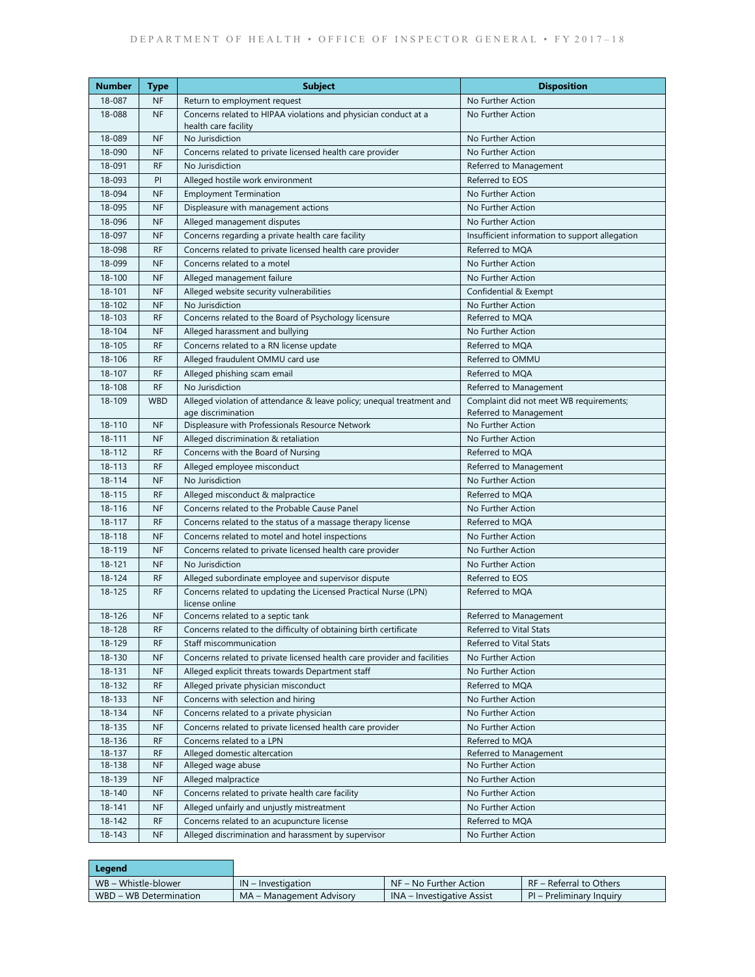| Number           | <b>Type</b>            | <b>Subject</b>                                                                              | <b>Disposition</b>                             |
|------------------|------------------------|---------------------------------------------------------------------------------------------|------------------------------------------------|
| 18-087           | <b>NF</b>              | Return to employment request                                                                | No Further Action                              |
| 18-088           | <b>NF</b>              | Concerns related to HIPAA violations and physician conduct at a                             | No Further Action                              |
|                  |                        | health care facility<br>No Jurisdiction                                                     |                                                |
| 18-089           | <b>NF</b><br><b>NF</b> |                                                                                             | No Further Action                              |
| 18-090           |                        | Concerns related to private licensed health care provider                                   | No Further Action                              |
| 18-091           | RF                     | No Jurisdiction                                                                             | Referred to Management                         |
| 18-093           | PI                     | Alleged hostile work environment                                                            | Referred to EOS                                |
| 18-094           | NF                     | <b>Employment Termination</b>                                                               | No Further Action                              |
| 18-095           | <b>NF</b>              | Displeasure with management actions                                                         | No Further Action                              |
| 18-096<br>18-097 | <b>NF</b>              | Alleged management disputes                                                                 | No Further Action                              |
|                  | <b>NF</b>              | Concerns regarding a private health care facility                                           | Insufficient information to support allegation |
| 18-098           | <b>RF</b>              | Concerns related to private licensed health care provider                                   | Referred to MOA                                |
| 18-099           | <b>NF</b>              | Concerns related to a motel                                                                 | No Further Action                              |
| 18-100           | <b>NF</b>              | Alleged management failure                                                                  | No Further Action                              |
| 18-101           | <b>NF</b>              | Alleged website security vulnerabilities                                                    | Confidential & Exempt                          |
| 18-102<br>18-103 | <b>NF</b><br><b>RF</b> | No Jurisdiction<br>Concerns related to the Board of Psychology licensure                    | No Further Action<br>Referred to MQA           |
| 18-104           | <b>NF</b>              |                                                                                             | No Further Action                              |
| $18 - 105$       | <b>RF</b>              | Alleged harassment and bullying<br>Concerns related to a RN license update                  | Referred to MOA                                |
| 18-106           | <b>RF</b>              |                                                                                             | Referred to OMMU                               |
| 18-107           | RF                     | Alleged fraudulent OMMU card use<br>Alleged phishing scam email                             | Referred to MQA                                |
| 18-108           | <b>RF</b>              | No Jurisdiction                                                                             | Referred to Management                         |
| 18-109           | <b>WBD</b>             |                                                                                             | Complaint did not meet WB requirements;        |
|                  |                        | Alleged violation of attendance & leave policy; unequal treatment and<br>age discrimination | Referred to Management                         |
| 18-110           | <b>NF</b>              | Displeasure with Professionals Resource Network                                             | No Further Action                              |
| $18 - 111$       | <b>NF</b>              | Alleged discrimination & retaliation                                                        | No Further Action                              |
| 18-112           | <b>RF</b>              | Concerns with the Board of Nursing                                                          | Referred to MQA                                |
| 18-113           | <b>RF</b>              | Alleged employee misconduct                                                                 | Referred to Management                         |
| 18-114           | <b>NF</b>              | No Jurisdiction                                                                             | No Further Action                              |
| 18-115           | <b>RF</b>              | Alleged misconduct & malpractice                                                            | Referred to MQA                                |
| 18-116           | <b>NF</b>              | Concerns related to the Probable Cause Panel                                                | No Further Action                              |
| 18-117           | <b>RF</b>              | Concerns related to the status of a massage therapy license                                 | Referred to MQA                                |
| 18-118           | <b>NF</b>              | Concerns related to motel and hotel inspections                                             | No Further Action                              |
| 18-119           | <b>NF</b>              | Concerns related to private licensed health care provider                                   | No Further Action                              |
| 18-121           | <b>NF</b>              | No Jurisdiction                                                                             | No Further Action                              |
| 18-124           | <b>RF</b>              | Alleged subordinate employee and supervisor dispute                                         | Referred to EOS                                |
| 18-125           | <b>RF</b>              | Concerns related to updating the Licensed Practical Nurse (LPN)                             | Referred to MOA                                |
|                  |                        | license online                                                                              |                                                |
| 18-126           | <b>NF</b>              | Concerns related to a septic tank                                                           | Referred to Management                         |
| 18-128           | <b>RF</b>              | Concerns related to the difficulty of obtaining birth certificate                           | Referred to Vital Stats                        |
| 18-129           | <b>RF</b>              | Staff miscommunication                                                                      | Referred to Vital Stats                        |
| 18-130           | <b>NF</b>              | Concerns related to private licensed health care provider and facilities                    | No Further Action                              |
| 18-131           | <b>NF</b>              | Alleged explicit threats towards Department staff                                           | No Further Action                              |
| 18-132           | <b>RF</b>              | Alleged private physician misconduct                                                        | Referred to MQA                                |
| 18-133           | <b>NF</b>              | Concerns with selection and hiring                                                          | No Further Action                              |
| 18-134           | <b>NF</b>              | Concerns related to a private physician                                                     | No Further Action                              |
| 18-135           | <b>NF</b>              | Concerns related to private licensed health care provider                                   | No Further Action                              |
| 18-136           | <b>RF</b>              | Concerns related to a LPN                                                                   | Referred to MQA                                |
| 18-137           | <b>RF</b>              | Alleged domestic altercation                                                                | Referred to Management                         |
| 18-138           | NF                     | Alleged wage abuse                                                                          | No Further Action                              |
| 18-139           | <b>NF</b>              | Alleged malpractice                                                                         | No Further Action                              |
| 18-140           | NF                     | Concerns related to private health care facility                                            | No Further Action                              |
| 18-141           | <b>NF</b>              | Alleged unfairly and unjustly mistreatment                                                  | No Further Action                              |
| 18-142           | RF                     | Concerns related to an acupuncture license                                                  | Referred to MQA                                |
| 18-143           | <b>NF</b>              | Alleged discrimination and harassment by supervisor                                         | No Further Action                              |
|                  |                        |                                                                                             |                                                |

| Legend                 |                          |                            |                          |
|------------------------|--------------------------|----------------------------|--------------------------|
| WB – Whistle-blower    | $IN$ – Investigation     | NF – No Further Action     | RF – Referral to Others  |
| WBD – WB Determination | MA – Management Advisory | INA – Investigative Assist | PI – Preliminary Inquiry |